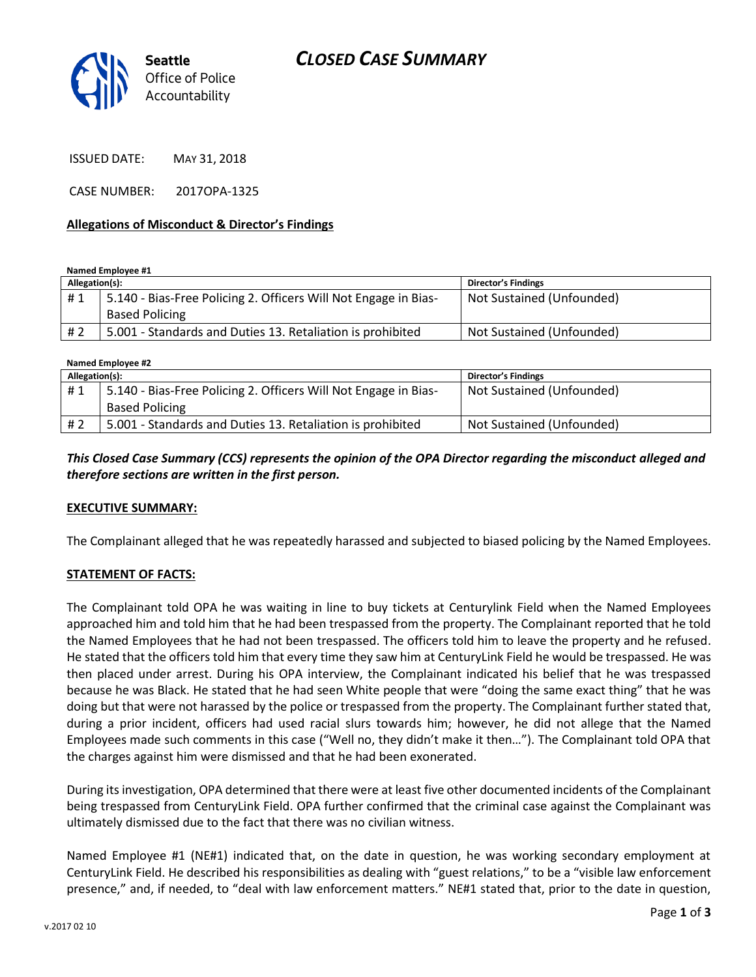

*CLOSED CASE SUMMARY*

ISSUED DATE: MAY 31, 2018

CASE NUMBER: 2017OPA-1325

#### **Allegations of Misconduct & Director's Findings**

*Accountability*

**Named Employee #1**

| Allegation(s): |                                                                 | <b>Director's Findings</b> |
|----------------|-----------------------------------------------------------------|----------------------------|
| #1             | 5.140 - Bias-Free Policing 2. Officers Will Not Engage in Bias- | Not Sustained (Unfounded)  |
|                | <b>Based Policing</b>                                           |                            |
| # 2            | 5.001 - Standards and Duties 13. Retaliation is prohibited      | Not Sustained (Unfounded)  |

**Named Employee #2**

| Allegation(s): |                                                                 | <b>Director's Findings</b> |
|----------------|-----------------------------------------------------------------|----------------------------|
| #1             | 5.140 - Bias-Free Policing 2. Officers Will Not Engage in Bias- | Not Sustained (Unfounded)  |
|                | <b>Based Policing</b>                                           |                            |
| #2             | 5.001 - Standards and Duties 13. Retaliation is prohibited      | Not Sustained (Unfounded)  |

## *This Closed Case Summary (CCS) represents the opinion of the OPA Director regarding the misconduct alleged and therefore sections are written in the first person.*

#### **EXECUTIVE SUMMARY:**

The Complainant alleged that he was repeatedly harassed and subjected to biased policing by the Named Employees.

## **STATEMENT OF FACTS:**

The Complainant told OPA he was waiting in line to buy tickets at Centurylink Field when the Named Employees approached him and told him that he had been trespassed from the property. The Complainant reported that he told the Named Employees that he had not been trespassed. The officers told him to leave the property and he refused. He stated that the officers told him that every time they saw him at CenturyLink Field he would be trespassed. He was then placed under arrest. During his OPA interview, the Complainant indicated his belief that he was trespassed because he was Black. He stated that he had seen White people that were "doing the same exact thing" that he was doing but that were not harassed by the police or trespassed from the property. The Complainant further stated that, during a prior incident, officers had used racial slurs towards him; however, he did not allege that the Named Employees made such comments in this case ("Well no, they didn't make it then…"). The Complainant told OPA that the charges against him were dismissed and that he had been exonerated.

During its investigation, OPA determined that there were at least five other documented incidents of the Complainant being trespassed from CenturyLink Field. OPA further confirmed that the criminal case against the Complainant was ultimately dismissed due to the fact that there was no civilian witness.

Named Employee #1 (NE#1) indicated that, on the date in question, he was working secondary employment at CenturyLink Field. He described his responsibilities as dealing with "guest relations," to be a "visible law enforcement presence," and, if needed, to "deal with law enforcement matters." NE#1 stated that, prior to the date in question,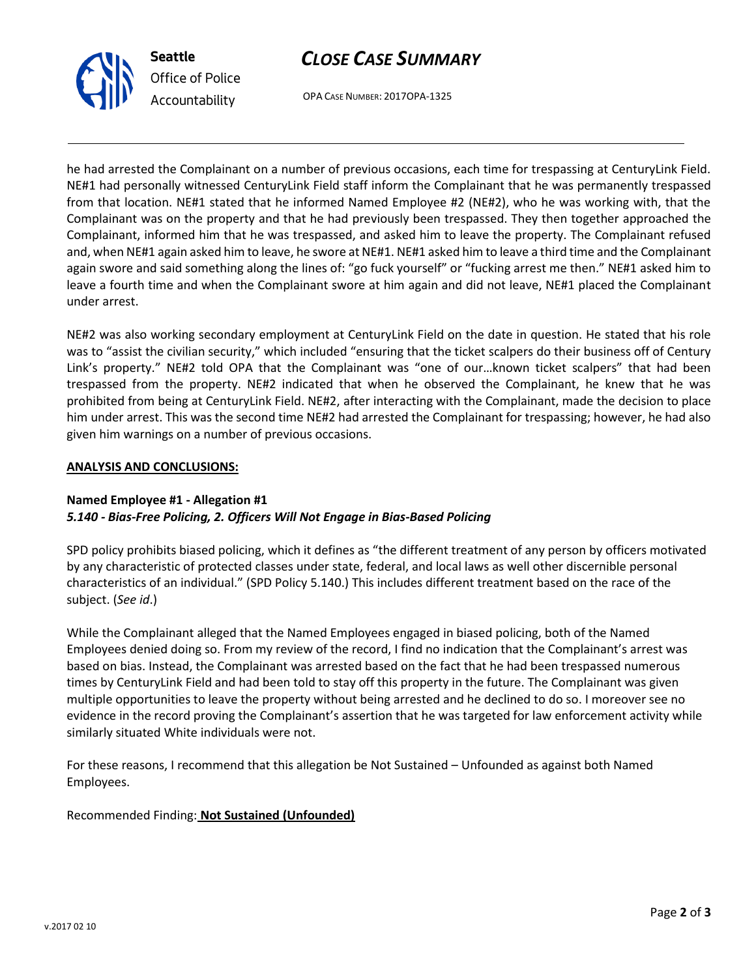



OPA CASE NUMBER: 2017OPA-1325

he had arrested the Complainant on a number of previous occasions, each time for trespassing at CenturyLink Field. NE#1 had personally witnessed CenturyLink Field staff inform the Complainant that he was permanently trespassed from that location. NE#1 stated that he informed Named Employee #2 (NE#2), who he was working with, that the Complainant was on the property and that he had previously been trespassed. They then together approached the Complainant, informed him that he was trespassed, and asked him to leave the property. The Complainant refused and, when NE#1 again asked him to leave, he swore at NE#1. NE#1 asked him to leave a third time and the Complainant again swore and said something along the lines of: "go fuck yourself" or "fucking arrest me then." NE#1 asked him to leave a fourth time and when the Complainant swore at him again and did not leave, NE#1 placed the Complainant under arrest.

NE#2 was also working secondary employment at CenturyLink Field on the date in question. He stated that his role was to "assist the civilian security," which included "ensuring that the ticket scalpers do their business off of Century Link's property." NE#2 told OPA that the Complainant was "one of our…known ticket scalpers" that had been trespassed from the property. NE#2 indicated that when he observed the Complainant, he knew that he was prohibited from being at CenturyLink Field. NE#2, after interacting with the Complainant, made the decision to place him under arrest. This was the second time NE#2 had arrested the Complainant for trespassing; however, he had also given him warnings on a number of previous occasions.

## **ANALYSIS AND CONCLUSIONS:**

## **Named Employee #1 - Allegation #1** *5.140 - Bias-Free Policing, 2. Officers Will Not Engage in Bias-Based Policing*

SPD policy prohibits biased policing, which it defines as "the different treatment of any person by officers motivated by any characteristic of protected classes under state, federal, and local laws as well other discernible personal characteristics of an individual." (SPD Policy 5.140.) This includes different treatment based on the race of the subject. (*See id*.)

While the Complainant alleged that the Named Employees engaged in biased policing, both of the Named Employees denied doing so. From my review of the record, I find no indication that the Complainant's arrest was based on bias. Instead, the Complainant was arrested based on the fact that he had been trespassed numerous times by CenturyLink Field and had been told to stay off this property in the future. The Complainant was given multiple opportunities to leave the property without being arrested and he declined to do so. I moreover see no evidence in the record proving the Complainant's assertion that he was targeted for law enforcement activity while similarly situated White individuals were not.

For these reasons, I recommend that this allegation be Not Sustained – Unfounded as against both Named Employees.

Recommended Finding: **Not Sustained (Unfounded)**